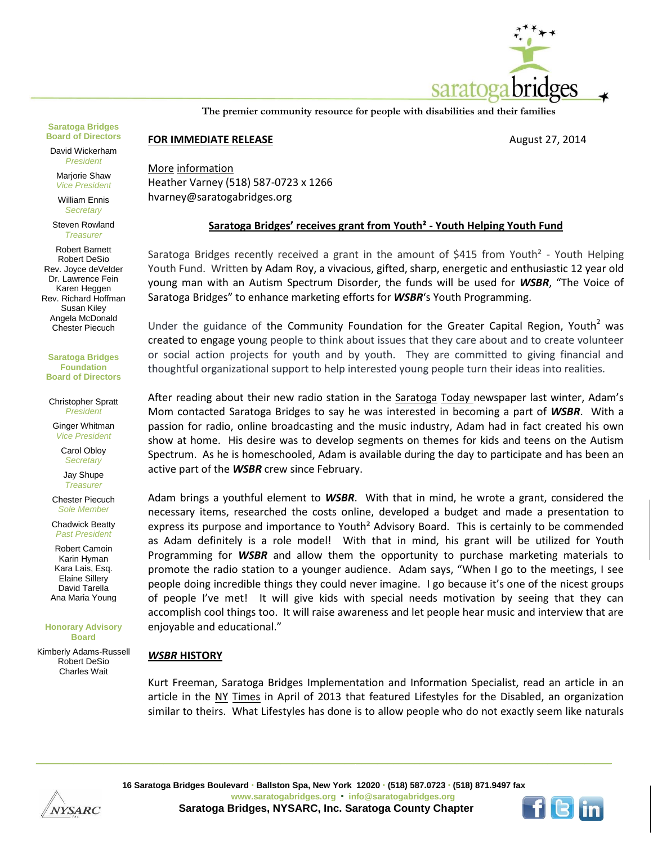

**The premier community resource for people with disabilities and their families**

## **Saratoga Bridges Board of Directors**

David Wickerham *President*

Marjorie Shaw *Vice President*

William Ennis *Secretary*

Steven Rowland *Treasurer*

Robert Barnett Robert DeSio Rev. Joyce deVelder Dr. Lawrence Fein Karen Heggen Rev. Richard Hoffman Susan Kiley Angela McDonald Chester Piecuch

**Saratoga Bridges Foundation Board of Directors**

Christopher Spratt *President*

Ginger Whitman *Vice President*

Carol Obloy *Secretary*

Jay Shupe *Treasurer*

Chester Piecuch *Sole Member*

Chadwick Beatty *Past President*

Robert Camoin Karin Hyman Kara Lais, Esq. Elaine Sillery David Tarella Ana Maria Young

**Honorary Advisory Board**

Kimberly Adams-Russell Robert DeSio Charles Wait

**FOR IMMEDIATE RELEASE August 27, 2014** 

More information Heather Varney (518) 587-0723 x 1266 hvarney@saratogabridges.org

## **Saratoga Bridges' receives grant from Youth² - Youth Helping Youth Fund**

Saratoga Bridges recently received a grant in the amount of \$415 from Youth<sup>2</sup> - Youth Helping Youth Fund. Written by Adam Roy, a vivacious, gifted, sharp, energetic and enthusiastic 12 year old young man with an Autism Spectrum Disorder, the funds will be used for *WSBR*, "The Voice of Saratoga Bridges" to enhance marketing efforts for *WSBR*'s Youth Programming.

Under the guidance of the [Community Foundation for the Greater Capital Region,](http://www.cfgcr.org/) Youth<sup>2</sup> was created to engage young people to think about issues that they care about and to create volunteer or social action projects for youth and by youth. They are committed to giving financial and thoughtful organizational support to help interested young people turn their ideas into realities.

After reading about their new radio station in the Saratoga Today newspaper last winter, Adam's Mom contacted Saratoga Bridges to say he was interested in becoming a part of *WSBR*. With a passion for radio, online broadcasting and the music industry, Adam had in fact created his own show at home. His desire was to develop segments on themes for kids and teens on the Autism Spectrum. As he is homeschooled, Adam is available during the day to participate and has been an active part of the *WSBR* crew since February.

Adam brings a youthful element to *WSBR*. With that in mind, he wrote a grant, considered the necessary items, researched the costs online, developed a budget and made a presentation to express its purpose and importance to Youth² Advisory Board.This is certainly to be commended as Adam definitely is a role model! With that in mind, his grant will be utilized for Youth Programming for *WSBR* and allow them the opportunity to purchase marketing materials to promote the radio station to a younger audience. Adam says, "When I go to the meetings, I see people doing incredible things they could never imagine. I go because it's one of the nicest groups of people I've met! It will give kids with special needs motivation by seeing that they can accomplish cool things too. It will raise awareness and let people hear music and interview that are enjoyable and educational."

## *WSBR* **HISTORY**

Kurt Freeman, Saratoga Bridges Implementation and Information Specialist, read an article in an article in the NY Times in April of 2013 that featured Lifestyles for the Disabled, an organization similar to theirs. What [Lifestyles has done is to allow people who](http://lfdsi.org/) do not exactly seem like naturals



**16 Saratoga Bridges Boulevard Ballston Spa, New York 12020 (518) 587.0723 (518) 871.9497 fax www.saratogabridges.org info@saratogabridges.org Saratoga Bridges, NYSARC, Inc. Saratoga County Chapter**

**\_\_\_\_\_\_\_\_\_\_\_\_\_\_\_\_\_\_\_\_\_\_\_\_\_\_\_\_\_\_\_\_\_\_\_\_\_\_\_\_\_\_\_\_\_\_\_\_\_\_\_\_\_\_\_\_\_\_\_\_\_\_\_\_\_\_\_\_\_\_\_\_\_\_\_\_\_\_\_\_\_\_\_\_\_\_\_\_\_\_\_\_\_\_\_\_\_\_\_\_\_\_\_\_\_\_\_\_**